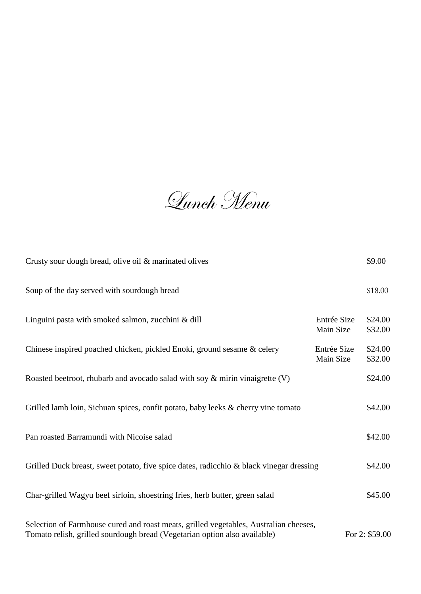Lunch Menu

| Crusty sour dough bread, olive oil & marinated olives                                                                                                              |                          | \$9.00             |
|--------------------------------------------------------------------------------------------------------------------------------------------------------------------|--------------------------|--------------------|
| Soup of the day served with sourdough bread                                                                                                                        |                          | \$18.00            |
| Linguini pasta with smoked salmon, zucchini & dill                                                                                                                 | Entrée Size<br>Main Size | \$24.00<br>\$32.00 |
| Chinese inspired poached chicken, pickled Enoki, ground sesame & celery                                                                                            | Entrée Size<br>Main Size | \$24.00<br>\$32.00 |
| Roasted beetroot, rhubarb and avocado salad with soy $\&$ mirin vinaigrette (V)                                                                                    |                          | \$24.00            |
| Grilled lamb loin, Sichuan spices, confit potato, baby leeks & cherry vine tomato                                                                                  |                          | \$42.00            |
| Pan roasted Barramundi with Nicoise salad                                                                                                                          |                          | \$42.00            |
| Grilled Duck breast, sweet potato, five spice dates, radicchio & black vinegar dressing                                                                            |                          | \$42.00            |
| Char-grilled Wagyu beef sirloin, shoestring fries, herb butter, green salad                                                                                        |                          | \$45.00            |
| Selection of Farmhouse cured and roast meats, grilled vegetables, Australian cheeses,<br>Tomato relish, grilled sourdough bread (Vegetarian option also available) |                          | For 2: \$59.00     |